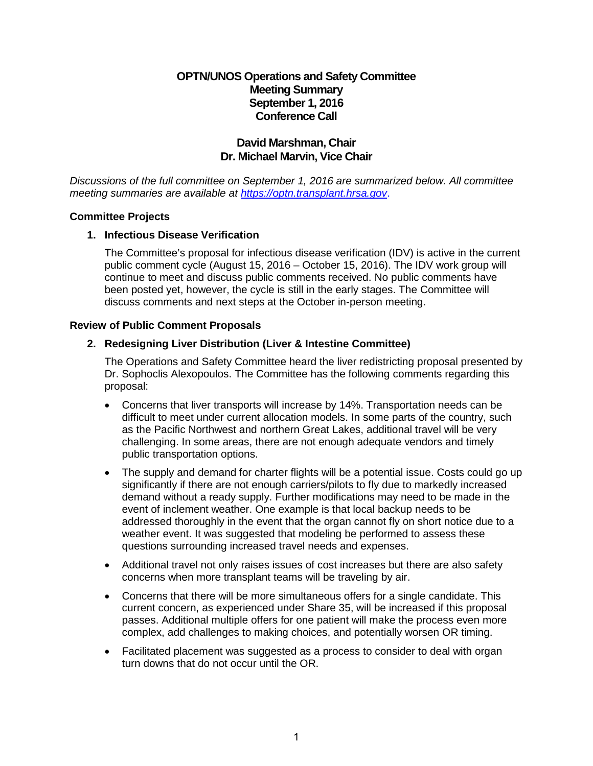# **OPTN/UNOS Operations and Safety Committee Meeting Summary September 1, 2016 Conference Call**

# **David Marshman, Chair Dr. Michael Marvin, Vice Chair**

*Discussions of the full committee on September 1, 2016 are summarized below. All committee meeting summaries are available at [https://optn.transplant.hrsa.gov](https://optn.transplant.hrsa.gov/)*.

#### **Committee Projects**

## **1. Infectious Disease Verification**

The Committee's proposal for infectious disease verification (IDV) is active in the current public comment cycle (August 15, 2016 – October 15, 2016). The IDV work group will continue to meet and discuss public comments received. No public comments have been posted yet, however, the cycle is still in the early stages. The Committee will discuss comments and next steps at the October in-person meeting.

#### **Review of Public Comment Proposals**

## **2. Redesigning Liver Distribution (Liver & Intestine Committee)**

The Operations and Safety Committee heard the liver redistricting proposal presented by Dr. Sophoclis Alexopoulos. The Committee has the following comments regarding this proposal:

- Concerns that liver transports will increase by 14%. Transportation needs can be difficult to meet under current allocation models. In some parts of the country, such as the Pacific Northwest and northern Great Lakes, additional travel will be very challenging. In some areas, there are not enough adequate vendors and timely public transportation options.
- The supply and demand for charter flights will be a potential issue. Costs could go up significantly if there are not enough carriers/pilots to fly due to markedly increased demand without a ready supply. Further modifications may need to be made in the event of inclement weather. One example is that local backup needs to be addressed thoroughly in the event that the organ cannot fly on short notice due to a weather event. It was suggested that modeling be performed to assess these questions surrounding increased travel needs and expenses.
- Additional travel not only raises issues of cost increases but there are also safety concerns when more transplant teams will be traveling by air.
- Concerns that there will be more simultaneous offers for a single candidate. This current concern, as experienced under Share 35, will be increased if this proposal passes. Additional multiple offers for one patient will make the process even more complex, add challenges to making choices, and potentially worsen OR timing.
- Facilitated placement was suggested as a process to consider to deal with organ turn downs that do not occur until the OR.